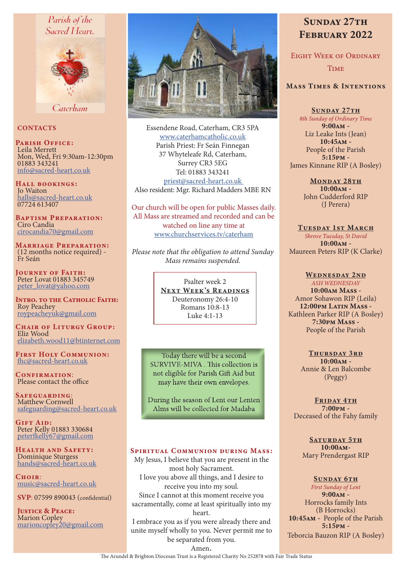# Parish of the Sacred Heart.



Caterham

### **CONTACTS**

PARISH OFFICE: Leila Merrett Mon, Wed, Fri 9:30am-12:30pm 01883 343241 info@sacred-heart.co.uk

Hall bookings: Jo Waiton halls@sacred-heart.co.uk 07724 613407

Baptism Preparation: Ciro Candia cirocandia70@gmail.com

Marriage Preparation: (12 months notice required) - Fr Seán

Journey of Faith: Peter Lovat 01883 345749 peter\_lovat@yahoo.com

INTRO. TO THE CATHOLIC FAITH: Roy Peachey roypeacheyuk@gmail.com

CHAIR OF LITURGY GROUP: Eliz Wood elizabeth.wood11@btinternet.com

First Holy Communion: fhc@sacred-heart.co.uk

CONFIRMATION: Please contact the office

Safeguarding: Matthew Cornwell safeguarding@sacred-heart.co.uk

GIFT AID: Peter Kelly 01883 330684 peterfkelly67@gmail.com

Health and Safety: Dominique Sturgess hands@sacred-heart.co.uk

Choir<sup>.</sup> music@sacred-heart.co.uk

SVP: 07599 890043 (confidential)

JUSTICE & PEACE: Marion Copley marioncopley20@gmail.com



Essendene Road, Caterham, CR3 5PA www.caterhamcatholic.co.uk Parish Priest: Fr Seán Finnegan 37 Whyteleafe Rd, Caterham, Surrey CR3 5EG Tel: 01883 343241 priest@sacred-heart.co.uk Also resident: Mgr. Richard Madders MBE RN

Our church will be open for public Masses daily. All Mass are streamed and recorded and can be watched on line any time at www.churchservices.tv/caterham

*Please note that the obligation to attend Sunday Mass remains suspended.*

> Psalter week 2 NEXT WEEK'S READINGS Deuteronomy 26:4-10 Romans 10:8-13 Luke 4:1-13

Today there will be a second SURVIVE-MIVA . This collection is not eligible for Parish Gift Aid but may have their own envelopes.

During the season of Lent our Lenten Alms will be collected for Madaba

#### Spiritual Communion during Mass:

My Jesus, I believe that you are present in the most holy Sacrament. I love you above all things, and I desire to receive you into my soul. Since I cannot at this moment receive you sacramentally, come at least spiritually into my heart. I embrace you as if you were already there and

unite myself wholly to you. Never permit me to be separated from you.

# SUNDAY 27TH February 2022

Eight Week of Ordinary Time

# Mass Times & Intentions

SUNDAY 27TH *8th Sunday of Ordinary Time*  $9:00AM -$ Liz Leake Ints (Jean) 10:45am - People of the Parish 5:15pm - James Kinnane RIP (A Bosley)

> MONDAY 28TH 10:00am - John Cudderford RIP (J Perera)

TUESDAY 1ST MARCH *Shrove Tuesday, St David* 10:00am - Maureen Peters RIP (K Clarke)

WEDNESDAY 2ND *ASH WEDNESDAY* 10:00am Mass - Amor Sohawon RIP (Leila) 12:00pm Latin Mass -Kathleen Parker RIP (A Bosley) 7:30pm Mass - People of the Parish

> THURSDAY 3RD 10:00am - Annie & Len Balcombe (Peggy)

FRIDAY 4TH 7:00pm - Deceased of the Fahy family

> SATURDAY 5TH 10:00am-Mary Prendergast RIP

SUNDAY 6TH *First Sunday of Lent* 9:00am - Horrocks family Ints (B Horrocks) 10:45am - People of the Parish 5:15pm - Teborcia Bauzon RIP (A Bosley)

Amen.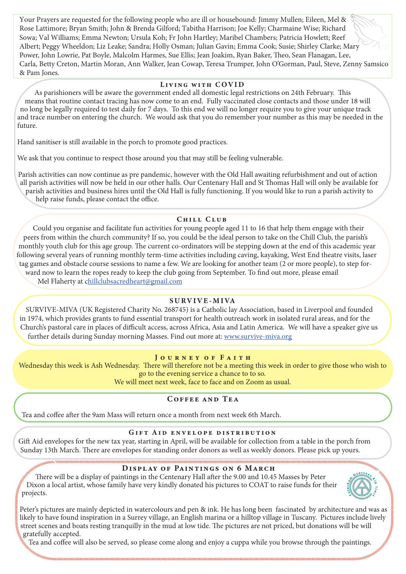Your Prayers are requested for the following people who are ill or housebound: Jimmy Mullen; Eileen, Mel & Rose Lattimore; Bryan Smith; John & Brenda Gilford; Tabitha Harrison; Joe Kelly; Charmaine Wise; Richard Sowa; Val Williams; Emma Newton; Ursula Koh; Fr John Hartley; Maribel Chambers; Patricia Howlett; Reef Albert; Peggy Wheeldon; Liz Leake; Sandra; Holly Osman; Julian Gavin; Emma Cook; Susie; Shirley Clarke; Mary Power, John Lowrie, Pat Boyle, Malcolm Harmes, Sue Ellis; Jean Joakim, Ryan Baker, Theo, Sean Flanagan, Lee, Carla, Betty Creton, Martin Moran, Ann Walker, Jean Cowap, Teresa Trumper, John O'Gorman, Paul, Steve, Zenny Samsico & Pam Jones.

#### Living with COVID

As parishioners will be aware the government ended all domestic legal restrictions on 24th February. This means that routine contact tracing has now come to an end. Fully vaccinated close contacts and those under 18 will no long be legally required to test daily for 7 days. To this end we will no longer require you to give your unique track and trace number on entering the church. We would ask that you do remember your number as this may be needed in the future.

Hand sanitiser is still available in the porch to promote good practices.

We ask that you continue to respect those around you that may still be feeling vulnerable.

Parish activities can now continue as pre pandemic, however with the Old Hall awaiting refurbishment and out of action all parish activities will now be held in our other halls. Our Centenary Hall and St Thomas Hall will only be available for parish activities and business hires until the Old Hall is fully functioning. If you would like to run a parish activity to help raise funds, please contact the office.

# CHILL CLUB

Could you organise and facilitate fun activities for young people aged 11 to 16 that help them engage with their peers from within the church community? If so, you could be the ideal person to take on the Chill Club, the parish's monthly youth club for this age group. The current co-ordinators will be stepping down at the end of this academic year following several years of running monthly term-time activities including caving, kayaking, West End theatre visits, laser tag games and obstacle course sessions to name a few. We are looking for another team (2 or more people), to step forward now to learn the ropes ready to keep the club going from September. To find out more, please email

Mel Flaherty at chillclubsacredheart@gmail.com

# SURVIVE-MIVA

SURVIVE-MIVA (UK Registered Charity No. 268745) is a Catholic lay Association, based in Liverpool and founded in 1974, which provides grants to fund essential transport for health outreach work in isolated rural areas, and for the Church's pastoral care in places of difficult access, across Africa, Asia and Latin America. We will have a speaker give us further details during Sunday morning Masses. Find out more at: www.survive-miva.org

# JOURNEY OF FAITH

Wednesday this week is Ash Wednesday. There will therefore not be a meeting this week in order to give those who wish to go to the evening service a chance to to so.

We will meet next week, face to face and on Zoom as usual.

# Coffee and Tea

Tea and coffee after the 9am Mass will return once a month from next week 6th March.

#### Gift Aid envelope distribution

Gift Aid envelopes for the new tax year, starting in April, will be available for collection from a table in the porch from Sunday 13th March. There are envelopes for standing order donors as well as weekly donors. Please pick up yours.

# DISPLAY OF PAINTINGS ON 6 MARCH

There will be a display of paintings in the Centenary Hall after the 9.00 and 10.45 Masses by Peter Dixon a local artist, whose family have very kindly donated his pictures to COAT to raise funds for their projects.



Peter's pictures are mainly depicted in watercolours and pen & ink. He has long been fascinated by architecture and was as likely to have found inspiration in a Surrey village, an English marina or a hilltop village in Tuscany. Pictures include lively street scenes and boats resting tranquilly in the mud at low tide. The pictures are not priced, but donations will be will gratefully accepted.

Tea and coffee will also be served, so please come along and enjoy a cuppa while you browse through the paintings.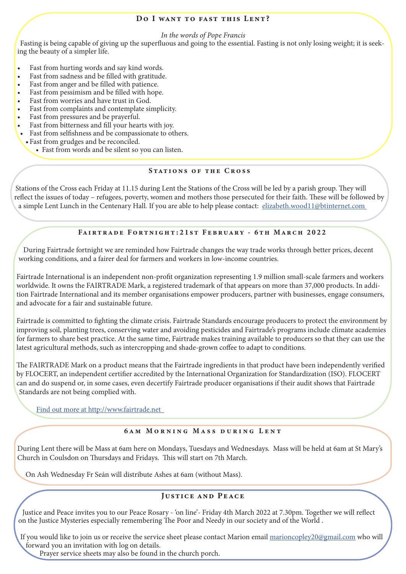#### DO I WANT TO FAST THIS LENT?

*In the words of Pope Francis*

Fasting is being capable of giving up the superfluous and going to the essential. Fasting is not only losing weight; it is seeking the beauty of a simpler life.

- Fast from hurting words and say kind words.
- Fast from sadness and be filled with gratitude.
- Fast from anger and be filled with patience.
- Fast from pessimism and be filled with hope.
- Fast from worries and have trust in God.
- Fast from complaints and contemplate simplicity.
- Fast from pressures and be prayerful.
- Fast from bitterness and fill your hearts with joy.
- Fast from selfishness and be compassionate to others.
	- Fast from grudges and be reconciled.
		- Fast from words and be silent so you can listen.

#### STATIONS OF THE CROSS

Stations of the Cross each Friday at 11.15 during Lent the Stations of the Cross will be led by a parish group. They will reflect the issues of today – refugees, poverty, women and mothers those persecuted for their faith. These will be followed by a simple Lent Lunch in the Centenary Hall. If you are able to help please contact: elizabeth.wood11@btinternet.com

# Fairtrade Fortnight:21st February - 6th March 2022

During Fairtrade fortnight we are reminded how Fairtrade changes the way trade works through better prices, decent working conditions, and a fairer deal for farmers and workers in low-income countries.

Fairtrade International is an independent non-profit organization representing 1.9 million small-scale farmers and workers worldwide. It owns the FAIRTRADE Mark, a registered trademark of that appears on more than 37,000 products. In addition Fairtrade International and its member organisations empower producers, partner with businesses, engage consumers, and advocate for a fair and sustainable future.

Fairtrade is committed to fighting the climate crisis. Fairtrade Standards encourage producers to protect the environment by improving soil, planting trees, conserving water and avoiding pesticides and Fairtrade's programs include climate academies for farmers to share best practice. At the same time, Fairtrade makes training available to producers so that they can use the latest agricultural methods, such as intercropping and shade-grown coffee to adapt to conditions.

The FAIRTRADE Mark on a product means that the Fairtrade ingredients in that product have been independently verified by FLOCERT, an independent certifier accredited by the International Organization for Standardization (ISO). FLOCERT can and do suspend or, in some cases, even decertify Fairtrade producer organisations if their audit shows that Fairtrade Standards are not being complied with.

Find out more at http://www.fairtrade.net

#### 6am Morning Mass during Lent

During Lent there will be Mass at 6am here on Mondays, Tuesdays and Wednesdays. Mass will be held at 6am at St Mary's Church in Coulsdon on Thursdays and Fridays. This will start on 7th March.

On Ash Wednesday Fr Seán will distribute Ashes at 6am (without Mass).

# Justice and Peace

Justice and Peace invites you to our Peace Rosary - 'on line'- Friday 4th March 2022 at 7.30pm. Together we will reflect on the Justice Mysteries especially remembering The Poor and Needy in our society and of the World .

If you would like to join us or receive the service sheet please contact Marion email marioncopley20@gmail.com who will forward you an invitation with log on details.

Prayer service sheets may also be found in the church porch.